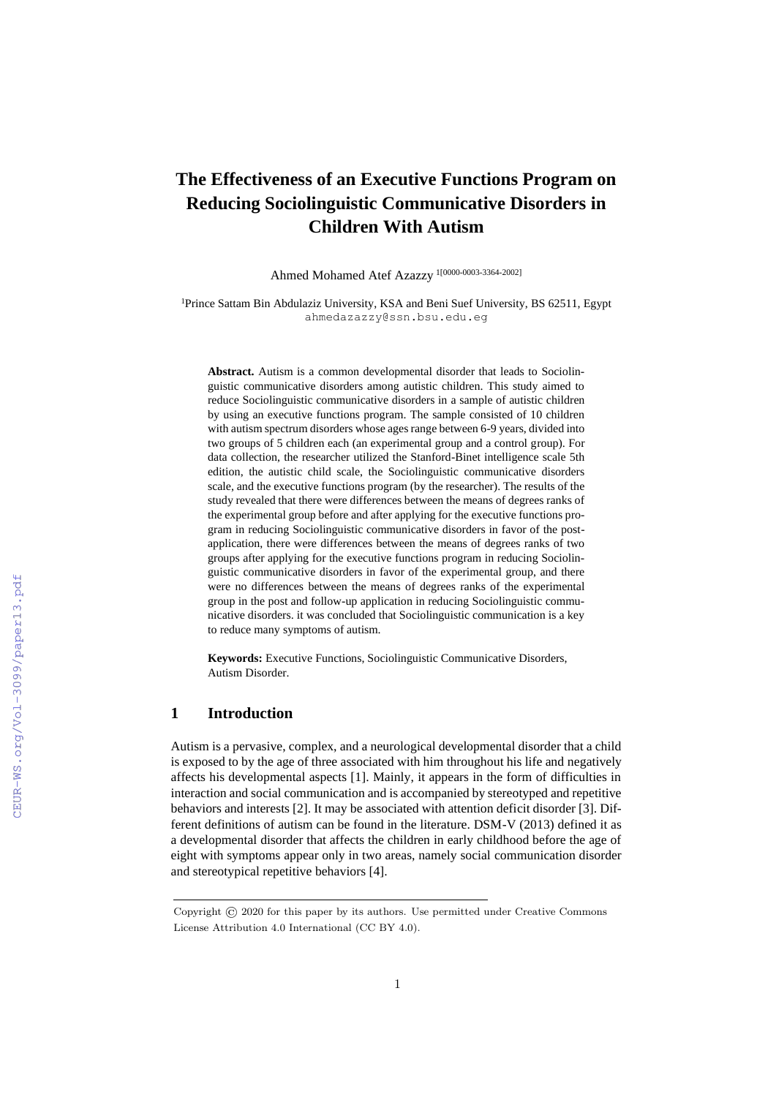# **The Effectiveness of an Executive Functions Program on Reducing Sociolinguistic Communicative Disorders in Children With Autism**

Ahmed Mohamed Atef Azazzy 1[0000-0003-3364-2002]

<sup>1</sup>Prince Sattam Bin Abdulaziz University, KSA and Beni Suef University, BS 62511, Egypt ahmedazazzy@ssn.bsu.edu.eg

**Abstract.** Autism is a common developmental disorder that leads to Sociolinguistic communicative disorders among autistic children. This study aimed to reduce Sociolinguistic communicative disorders in a sample of autistic children by using an executive functions program. The sample consisted of 10 children with autism spectrum disorders whose ages range between 6-9 years, divided into two groups of 5 children each (an experimental group and a control group). For data collection, the researcher utilized the Stanford-Binet intelligence scale 5th edition, the autistic child scale, the Sociolinguistic communicative disorders scale, and the executive functions program (by the researcher). The results of the study revealed that there were differences between the means of degrees ranks of the experimental group before and after applying for the executive functions program in reducing Sociolinguistic communicative disorders in favor of the postapplication, there were differences between the means of degrees ranks of two groups after applying for the executive functions program in reducing Sociolinguistic communicative disorders in favor of the experimental group, and there were no differences between the means of degrees ranks of the experimental group in the post and follow-up application in reducing Sociolinguistic communicative disorders. it was concluded that Sociolinguistic communication is a key to reduce many symptoms of autism.

**Keywords:** Executive Functions, Sociolinguistic Communicative Disorders, Autism Disorder.

## **1 Introduction**

Autism is a pervasive, complex, and a neurological developmental disorder that a child is exposed to by the age of three associated with him throughout his life and negatively affects his developmental aspects [1]. Mainly, it appears in the form of difficulties in interaction and social communication and is accompanied by stereotyped and repetitive behaviors and interests [2]. It may be associated with attention deficit disorder [3]. Different definitions of autism can be found in the literature. DSM-V (2013) defined it as a developmental disorder that affects the children in early childhood before the age of eight with symptoms appear only in two areas, namely social communication disorder and stereotypical repetitive behaviors [4].

Copyright © 2020 for this paper by its authors. Use permitted under Creative Commons License Attribution 4.0 International (CC BY 4.0).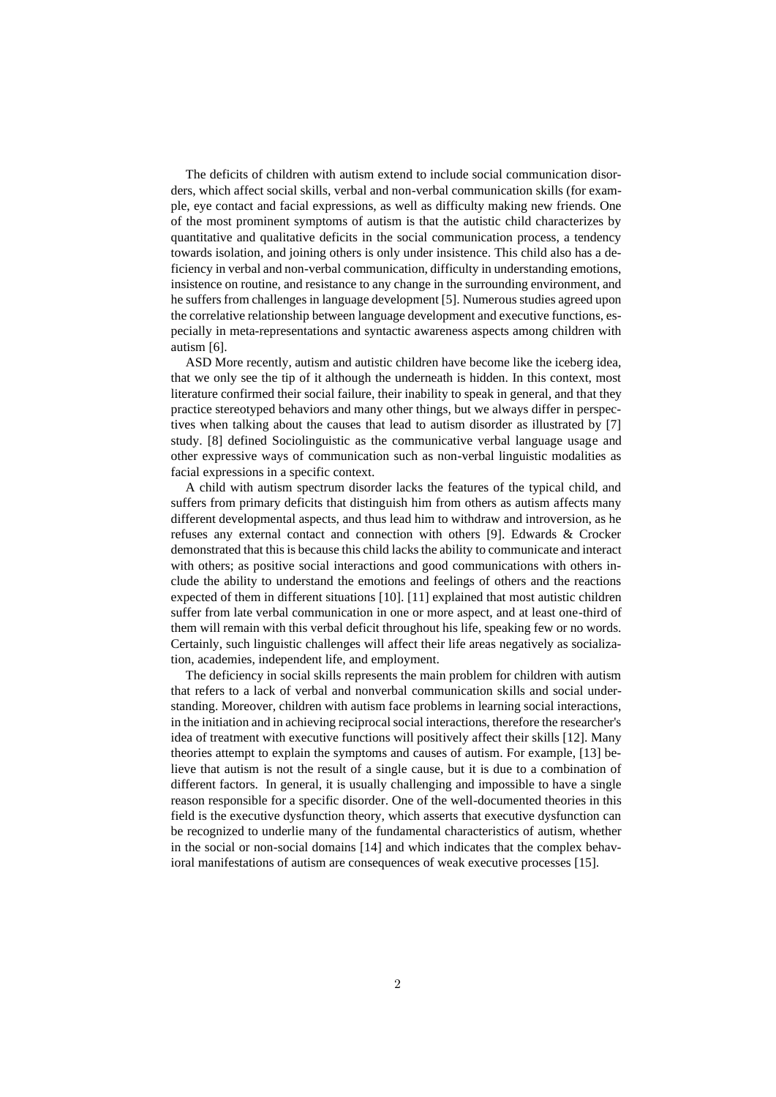The deficits of children with autism extend to include social communication disorders, which affect social skills, verbal and non-verbal communication skills (for example, eye contact and facial expressions, as well as difficulty making new friends. One of the most prominent symptoms of autism is that the autistic child characterizes by quantitative and qualitative deficits in the social communication process, a tendency towards isolation, and joining others is only under insistence. This child also has a deficiency in verbal and non-verbal communication, difficulty in understanding emotions, insistence on routine, and resistance to any change in the surrounding environment, and he suffers from challenges in language development [5]. Numerous studies agreed upon the correlative relationship between language development and executive functions, especially in meta-representations and syntactic awareness aspects among children with autism [6].

ASD More recently, autism and autistic children have become like the iceberg idea, that we only see the tip of it although the underneath is hidden. In this context, most literature confirmed their social failure, their inability to speak in general, and that they practice stereotyped behaviors and many other things, but we always differ in perspectives when talking about the causes that lead to autism disorder as illustrated by [7] study. [8] defined Sociolinguistic as the communicative verbal language usage and other expressive ways of communication such as non-verbal linguistic modalities as facial expressions in a specific context.

A child with autism spectrum disorder lacks the features of the typical child, and suffers from primary deficits that distinguish him from others as autism affects many different developmental aspects, and thus lead him to withdraw and introversion, as he refuses any external contact and connection with others [9]. Edwards & Crocker demonstrated that this is because this child lacks the ability to communicate and interact with others; as positive social interactions and good communications with others include the ability to understand the emotions and feelings of others and the reactions expected of them in different situations [10]. [11] explained that most autistic children suffer from late verbal communication in one or more aspect, and at least one-third of them will remain with this verbal deficit throughout his life, speaking few or no words. Certainly, such linguistic challenges will affect their life areas negatively as socialization, academies, independent life, and employment.

The deficiency in social skills represents the main problem for children with autism that refers to a lack of verbal and nonverbal communication skills and social understanding. Moreover, children with autism face problems in learning social interactions, in the initiation and in achieving reciprocal social interactions, therefore the researcher's idea of treatment with executive functions will positively affect their skills [12]. Many theories attempt to explain the symptoms and causes of autism. For example, [13] believe that autism is not the result of a single cause, but it is due to a combination of different factors. In general, it is usually challenging and impossible to have a single reason responsible for a specific disorder. One of the well-documented theories in this field is the executive dysfunction theory, which asserts that executive dysfunction can be recognized to underlie many of the fundamental characteristics of autism, whether in the social or non-social domains [14] and which indicates that the complex behavioral manifestations of autism are consequences of weak executive processes [15].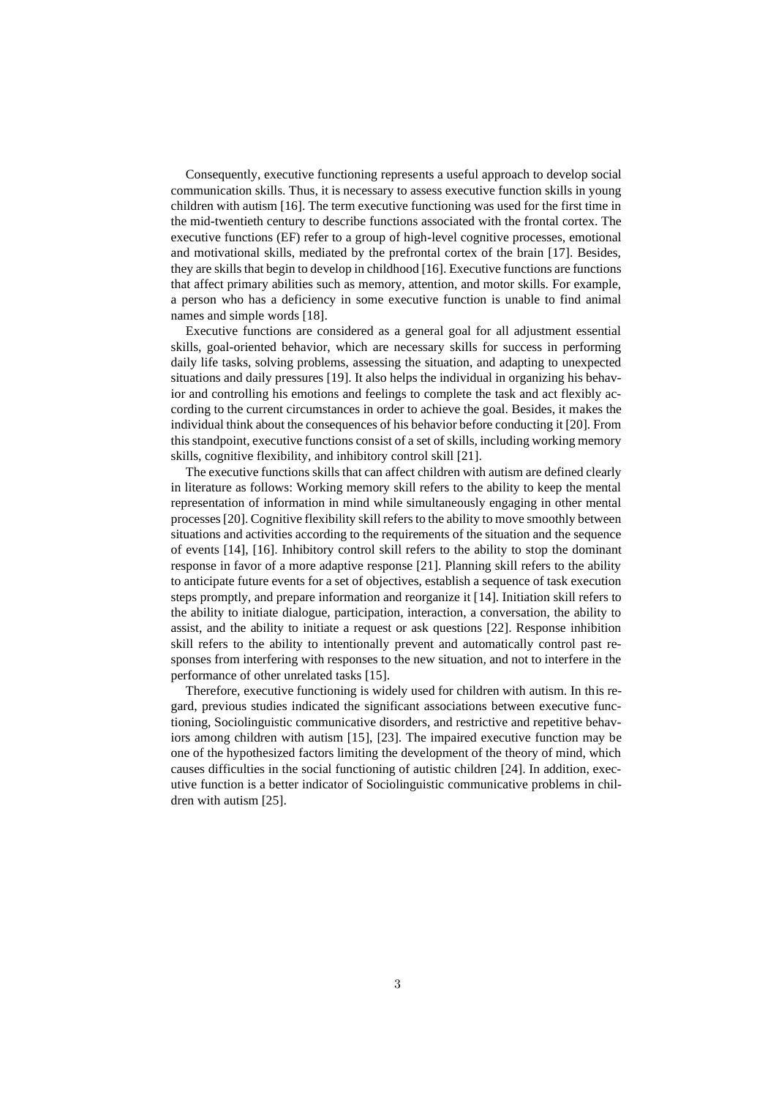Consequently, executive functioning represents a useful approach to develop social communication skills. Thus, it is necessary to assess executive function skills in young children with autism [16]. The term executive functioning was used for the first time in the mid-twentieth century to describe functions associated with the frontal cortex. The executive functions (EF) refer to a group of high-level cognitive processes, emotional and motivational skills, mediated by the prefrontal cortex of the brain [17]. Besides, they are skills that begin to develop in childhood [16]. Executive functions are functions that affect primary abilities such as memory, attention, and motor skills. For example, a person who has a deficiency in some executive function is unable to find animal names and simple words [18].

Executive functions are considered as a general goal for all adjustment essential skills, goal-oriented behavior, which are necessary skills for success in performing daily life tasks, solving problems, assessing the situation, and adapting to unexpected situations and daily pressures [19]. It also helps the individual in organizing his behavior and controlling his emotions and feelings to complete the task and act flexibly according to the current circumstances in order to achieve the goal. Besides, it makes the individual think about the consequences of his behavior before conducting it [20]. From this standpoint, executive functions consist of a set of skills, including working memory skills, cognitive flexibility, and inhibitory control skill [21].

The executive functions skills that can affect children with autism are defined clearly in literature as follows: Working memory skill refers to the ability to keep the mental representation of information in mind while simultaneously engaging in other mental processes [20]. Cognitive flexibility skill refers to the ability to move smoothly between situations and activities according to the requirements of the situation and the sequence of events [14], [16]. Inhibitory control skill refers to the ability to stop the dominant response in favor of a more adaptive response [21]. Planning skill refers to the ability to anticipate future events for a set of objectives, establish a sequence of task execution steps promptly, and prepare information and reorganize it [14]. Initiation skill refers to the ability to initiate dialogue, participation, interaction, a conversation, the ability to assist, and the ability to initiate a request or ask questions [22]. Response inhibition skill refers to the ability to intentionally prevent and automatically control past responses from interfering with responses to the new situation, and not to interfere in the performance of other unrelated tasks [15].

Therefore, executive functioning is widely used for children with autism. In this regard, previous studies indicated the significant associations between executive functioning, Sociolinguistic communicative disorders, and restrictive and repetitive behaviors among children with autism [15], [23]. The impaired executive function may be one of the hypothesized factors limiting the development of the theory of mind, which causes difficulties in the social functioning of autistic children [24]. In addition, executive function is a better indicator of Sociolinguistic communicative problems in children with autism [25].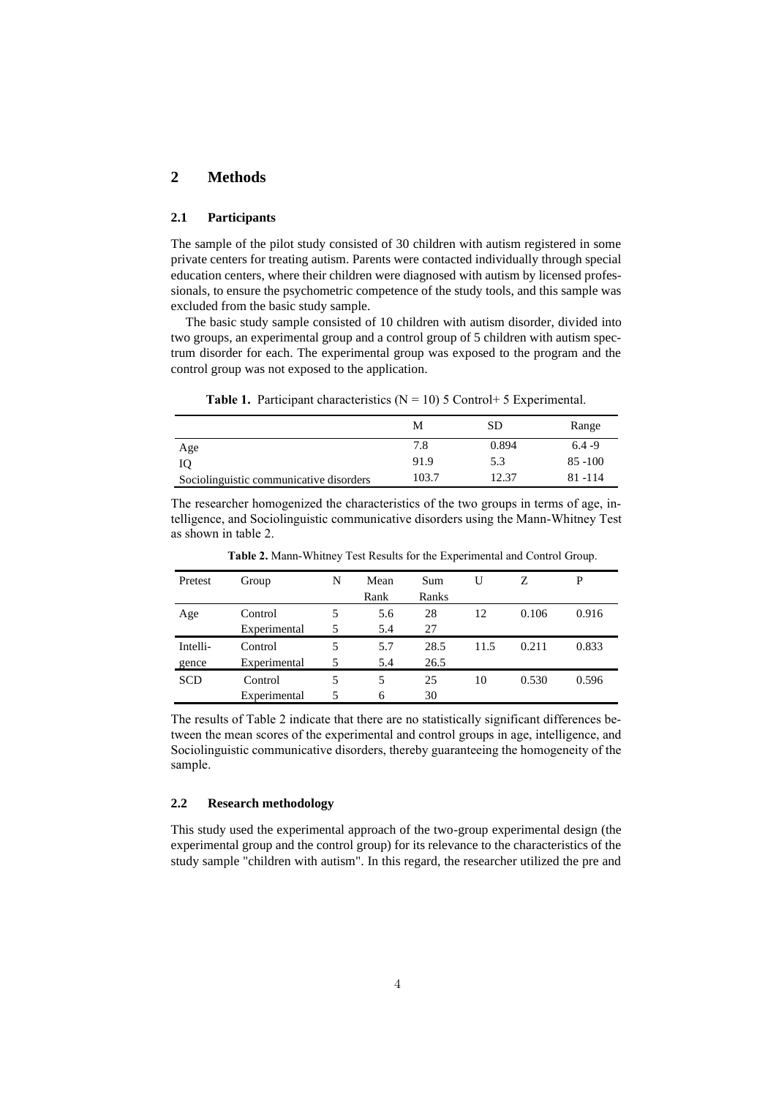## **2 Methods**

#### **2.1 Participants**

The sample of the pilot study consisted of 30 children with autism registered in some private centers for treating autism. Parents were contacted individually through special education centers, where their children were diagnosed with autism by licensed professionals, to ensure the psychometric competence of the study tools, and this sample was excluded from the basic study sample.

The basic study sample consisted of 10 children with autism disorder, divided into two groups, an experimental group and a control group of 5 children with autism spectrum disorder for each. The experimental group was exposed to the program and the control group was not exposed to the application.

**Table 1.** Participant characteristics  $(N = 10)$  5 Control + 5 Experimental.

|                                         | М     | SD    | Range      |
|-----------------------------------------|-------|-------|------------|
| Age                                     | 7.8   | 0.894 | $6.4 - 9$  |
| IQ                                      | 91.9  | 5.3   | $85 - 100$ |
| Sociolinguistic communicative disorders | 103.7 | 12.37 | 81 - 114   |

The researcher homogenized the characteristics of the two groups in terms of age, intelligence, and Sociolinguistic communicative disorders using the Mann-Whitney Test as shown in table 2.

| Pretest    | Group        | N | Mean | Sum   | U    | 7.    | P     |
|------------|--------------|---|------|-------|------|-------|-------|
|            |              |   | Rank | Ranks |      |       |       |
| Age        | Control      | 5 | 5.6  | 28    | 12   | 0.106 | 0.916 |
|            | Experimental | 5 | 5.4  | 27    |      |       |       |
| Intelli-   | Control      | 5 | 5.7  | 28.5  | 11.5 | 0.211 | 0.833 |
| gence      | Experimental | 5 | 5.4  | 26.5  |      |       |       |
| <b>SCD</b> | Control      | 5 | 5    | 25    | 10   | 0.530 | 0.596 |
|            | Experimental |   | 6    | 30    |      |       |       |

 **Table 2.** Mann-Whitney Test Results for the Experimental and Control Group.

The results of Table 2 indicate that there are no statistically significant differences between the mean scores of the experimental and control groups in age, intelligence, and Sociolinguistic communicative disorders, thereby guaranteeing the homogeneity of the sample.

### **2.2 Research methodology**

This study used the experimental approach of the two-group experimental design (the experimental group and the control group) for its relevance to the characteristics of the study sample "children with autism". In this regard, the researcher utilized the pre and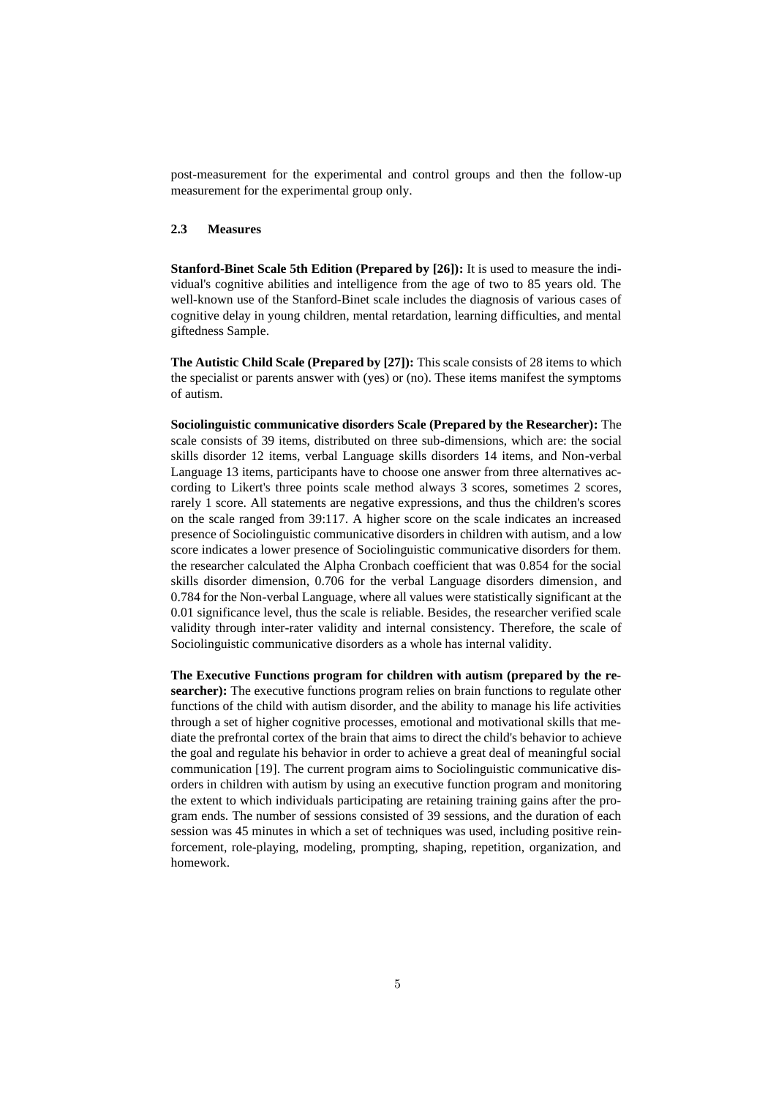post-measurement for the experimental and control groups and then the follow-up measurement for the experimental group only.

#### **2.3 Measures**

**Stanford-Binet Scale 5th Edition (Prepared by [26]):** It is used to measure the individual's cognitive abilities and intelligence from the age of two to 85 years old. The well-known use of the Stanford-Binet scale includes the diagnosis of various cases of cognitive delay in young children, mental retardation, learning difficulties, and mental giftedness Sample.

**The Autistic Child Scale (Prepared by [27]):** This scale consists of 28 items to which the specialist or parents answer with (yes) or (no). These items manifest the symptoms of autism.

**Sociolinguistic communicative disorders Scale (Prepared by the Researcher):** The scale consists of 39 items, distributed on three sub-dimensions, which are: the social skills disorder 12 items, verbal Language skills disorders 14 items, and Non-verbal Language 13 items, participants have to choose one answer from three alternatives according to Likert's three points scale method always 3 scores, sometimes 2 scores, rarely 1 score. All statements are negative expressions, and thus the children's scores on the scale ranged from 39:117. A higher score on the scale indicates an increased presence of Sociolinguistic communicative disorders in children with autism, and a low score indicates a lower presence of Sociolinguistic communicative disorders for them. the researcher calculated the Alpha Cronbach coefficient that was 0.854 for the social skills disorder dimension, 0.706 for the verbal Language disorders dimension, and 0.784 for the Non-verbal Language, where all values were statistically significant at the 0.01 significance level, thus the scale is reliable. Besides, the researcher verified scale validity through inter-rater validity and internal consistency. Therefore, the scale of Sociolinguistic communicative disorders as a whole has internal validity.

**The Executive Functions program for children with autism (prepared by the researcher):** The executive functions program relies on brain functions to regulate other functions of the child with autism disorder, and the ability to manage his life activities through a set of higher cognitive processes, emotional and motivational skills that mediate the prefrontal cortex of the brain that aims to direct the child's behavior to achieve the goal and regulate his behavior in order to achieve a great deal of meaningful social communication [19]. The current program aims to Sociolinguistic communicative disorders in children with autism by using an executive function program and monitoring the extent to which individuals participating are retaining training gains after the program ends. The number of sessions consisted of 39 sessions, and the duration of each session was 45 minutes in which a set of techniques was used, including positive reinforcement, role-playing, modeling, prompting, shaping, repetition, organization, and homework.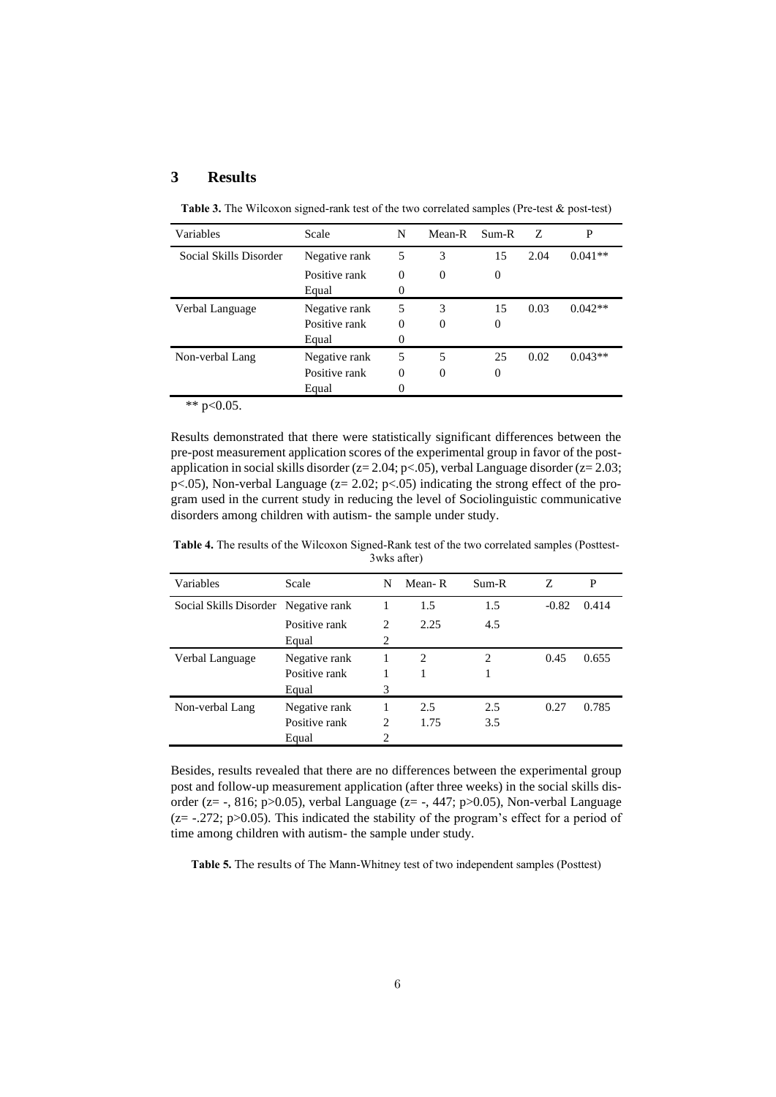## **3 Results**

| Variables              | Scale         | N        | Mean-R   | Sum-R            | Z    | P         |
|------------------------|---------------|----------|----------|------------------|------|-----------|
| Social Skills Disorder | Negative rank | 5        | 3        | 15               | 2.04 | $0.041**$ |
|                        | Positive rank | $\theta$ | $\Omega$ | $\boldsymbol{0}$ |      |           |
|                        | Equal         | 0        |          |                  |      |           |
| Verbal Language        | Negative rank | 5        | 3        | 15               | 0.03 | $0.042**$ |
|                        | Positive rank | $\theta$ | $\Omega$ | 0                |      |           |
|                        | Equal         | 0        |          |                  |      |           |
| Non-verbal Lang        | Negative rank | 5        | 5        | 25               | 0.02 | $0.043**$ |
|                        | Positive rank | $\theta$ | $\Omega$ | 0                |      |           |
|                        | Equal         | 0        |          |                  |      |           |

**Table 3.** The Wilcoxon signed-rank test of the two correlated samples (Pre-test & post-test)

\*\*  $p<0.05$ .

Results demonstrated that there were statistically significant differences between the pre-post measurement application scores of the experimental group in favor of the postapplication in social skills disorder (z= 2.04; p<.05), verbal Language disorder (z= 2.03; p<.05), Non-verbal Language (z= 2.02; p<.05) indicating the strong effect of the program used in the current study in reducing the level of Sociolinguistic communicative disorders among children with autism- the sample under study.

**Table 4.** The results of the Wilcoxon Signed-Rank test of the two correlated samples (Posttest-3wks after)

| Variables                            | Scale         | N              | Mean-R | $Sum-R$ | Z       | P     |  |
|--------------------------------------|---------------|----------------|--------|---------|---------|-------|--|
| Social Skills Disorder Negative rank |               |                | 1.5    | 1.5     | $-0.82$ | 0.414 |  |
|                                      | Positive rank | 2              | 2.25   | 4.5     |         |       |  |
|                                      | Equal         | 2              |        |         |         |       |  |
| Verbal Language                      | Negative rank |                | 2      | 2       | 0.45    | 0.655 |  |
|                                      | Positive rank |                |        | 1       |         |       |  |
|                                      | Equal         | 3              |        |         |         |       |  |
| Non-verbal Lang                      | Negative rank |                | 2.5    | 2.5     | 0.27    | 0.785 |  |
|                                      | Positive rank | 2              | 1.75   | 3.5     |         |       |  |
|                                      | Equal         | $\overline{c}$ |        |         |         |       |  |

Besides, results revealed that there are no differences between the experimental group post and follow-up measurement application (after three weeks) in the social skills disorder (z= -, 816; p>0.05), verbal Language (z= -, 447; p>0.05), Non-verbal Language  $(z = -.272; p > 0.05)$ . This indicated the stability of the program's effect for a period of time among children with autism- the sample under study.

**Table 5.** The results of The Mann-Whitney test of two independent samples (Posttest)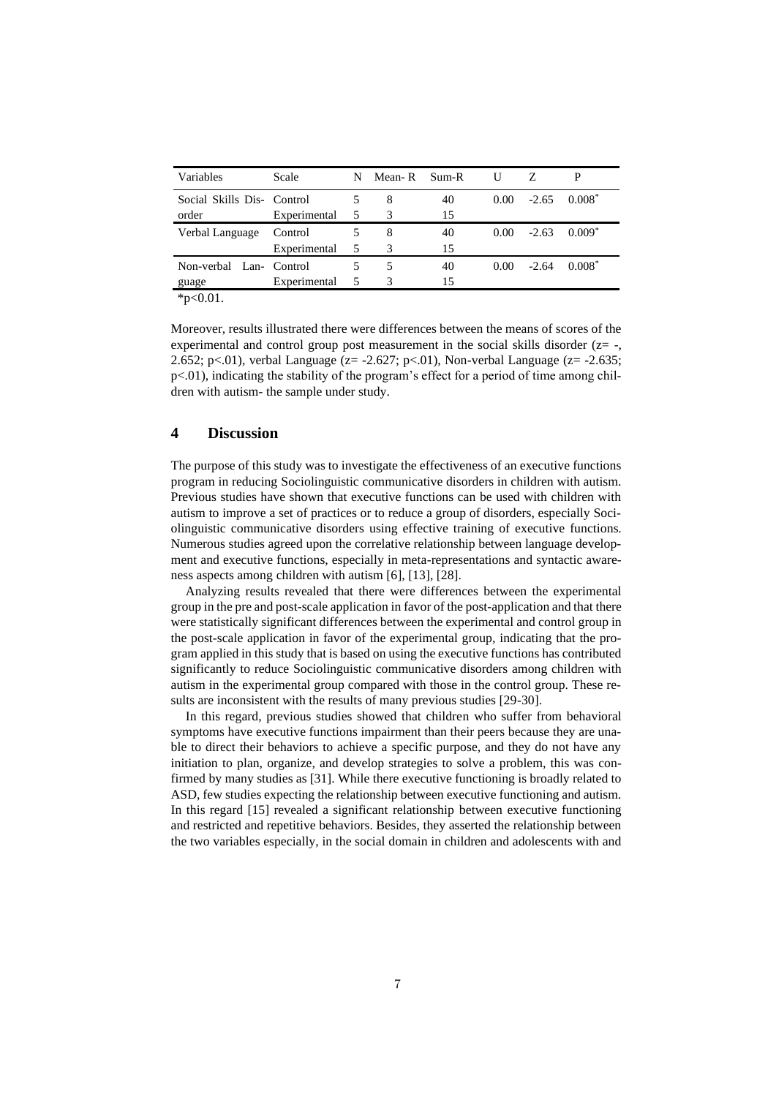| Variables                  | Scale        | N | Mean-R | Sum-R | U              |         |          |
|----------------------------|--------------|---|--------|-------|----------------|---------|----------|
| Social Skills Dis- Control |              |   | 8      | 40    | $0.00^{\circ}$ | $-2.65$ | $0.008*$ |
| order                      | Experimental | 5 | 3      | 15    |                |         |          |
| Verbal Language            | Control      |   | 8      | 40    | $0.00^{\circ}$ | $-2.63$ | $0.009*$ |
|                            | Experimental | 5 | 3      | 15    |                |         |          |
| Non-verbal Lan- Control    |              |   | 5      | 40    | $0.00^{\circ}$ | $-2.64$ | $0.008*$ |
| guage                      | Experimental |   | 3      | 15    |                |         |          |

\*p<0.01.

Moreover, results illustrated there were differences between the means of scores of the experimental and control group post measurement in the social skills disorder  $(z=$  -, 2.652; p<.01), verbal Language ( $z = -2.627$ ; p<.01), Non-verbal Language ( $z = -2.635$ ; p<.01), indicating the stability of the program's effect for a period of time among children with autism- the sample under study.

## **4 Discussion**

The purpose of this study was to investigate the effectiveness of an executive functions program in reducing Sociolinguistic communicative disorders in children with autism. Previous studies have shown that executive functions can be used with children with autism to improve a set of practices or to reduce a group of disorders, especially Sociolinguistic communicative disorders using effective training of executive functions. Numerous studies agreed upon the correlative relationship between language development and executive functions, especially in meta-representations and syntactic awareness aspects among children with autism [6], [13], [28].

Analyzing results revealed that there were differences between the experimental group in the pre and post-scale application in favor of the post-application and that there were statistically significant differences between the experimental and control group in the post-scale application in favor of the experimental group, indicating that the program applied in this study that is based on using the executive functions has contributed significantly to reduce Sociolinguistic communicative disorders among children with autism in the experimental group compared with those in the control group. These results are inconsistent with the results of many previous studies [29-30].

In this regard, previous studies showed that children who suffer from behavioral symptoms have executive functions impairment than their peers because they are unable to direct their behaviors to achieve a specific purpose, and they do not have any initiation to plan, organize, and develop strategies to solve a problem, this was confirmed by many studies as [31]. While there executive functioning is broadly related to ASD, few studies expecting the relationship between executive functioning and autism. In this regard [15] revealed a significant relationship between executive functioning and restricted and repetitive behaviors. Besides, they asserted the relationship between the two variables especially, in the social domain in children and adolescents with and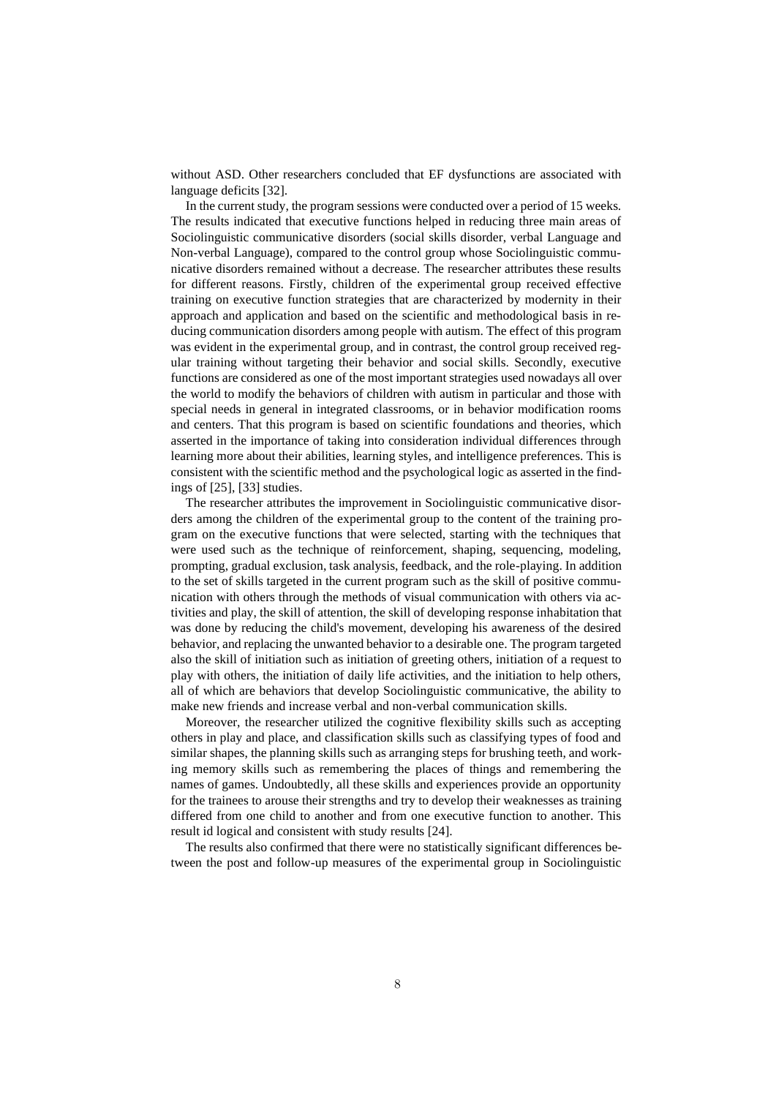without ASD. Other researchers concluded that EF dysfunctions are associated with language deficits [32].

In the current study, the program sessions were conducted over a period of 15 weeks. The results indicated that executive functions helped in reducing three main areas of Sociolinguistic communicative disorders (social skills disorder, verbal Language and Non-verbal Language), compared to the control group whose Sociolinguistic communicative disorders remained without a decrease. The researcher attributes these results for different reasons. Firstly, children of the experimental group received effective training on executive function strategies that are characterized by modernity in their approach and application and based on the scientific and methodological basis in reducing communication disorders among people with autism. The effect of this program was evident in the experimental group, and in contrast, the control group received regular training without targeting their behavior and social skills. Secondly, executive functions are considered as one of the most important strategies used nowadays all over the world to modify the behaviors of children with autism in particular and those with special needs in general in integrated classrooms, or in behavior modification rooms and centers. That this program is based on scientific foundations and theories, which asserted in the importance of taking into consideration individual differences through learning more about their abilities, learning styles, and intelligence preferences. This is consistent with the scientific method and the psychological logic as asserted in the findings of [25], [33] studies.

The researcher attributes the improvement in Sociolinguistic communicative disorders among the children of the experimental group to the content of the training program on the executive functions that were selected, starting with the techniques that were used such as the technique of reinforcement, shaping, sequencing, modeling, prompting, gradual exclusion, task analysis, feedback, and the role-playing. In addition to the set of skills targeted in the current program such as the skill of positive communication with others through the methods of visual communication with others via activities and play, the skill of attention, the skill of developing response inhabitation that was done by reducing the child's movement, developing his awareness of the desired behavior, and replacing the unwanted behavior to a desirable one. The program targeted also the skill of initiation such as initiation of greeting others, initiation of a request to play with others, the initiation of daily life activities, and the initiation to help others, all of which are behaviors that develop Sociolinguistic communicative, the ability to make new friends and increase verbal and non-verbal communication skills.

Moreover, the researcher utilized the cognitive flexibility skills such as accepting others in play and place, and classification skills such as classifying types of food and similar shapes, the planning skills such as arranging steps for brushing teeth, and working memory skills such as remembering the places of things and remembering the names of games. Undoubtedly, all these skills and experiences provide an opportunity for the trainees to arouse their strengths and try to develop their weaknesses as training differed from one child to another and from one executive function to another. This result id logical and consistent with study results [24].

The results also confirmed that there were no statistically significant differences between the post and follow-up measures of the experimental group in Sociolinguistic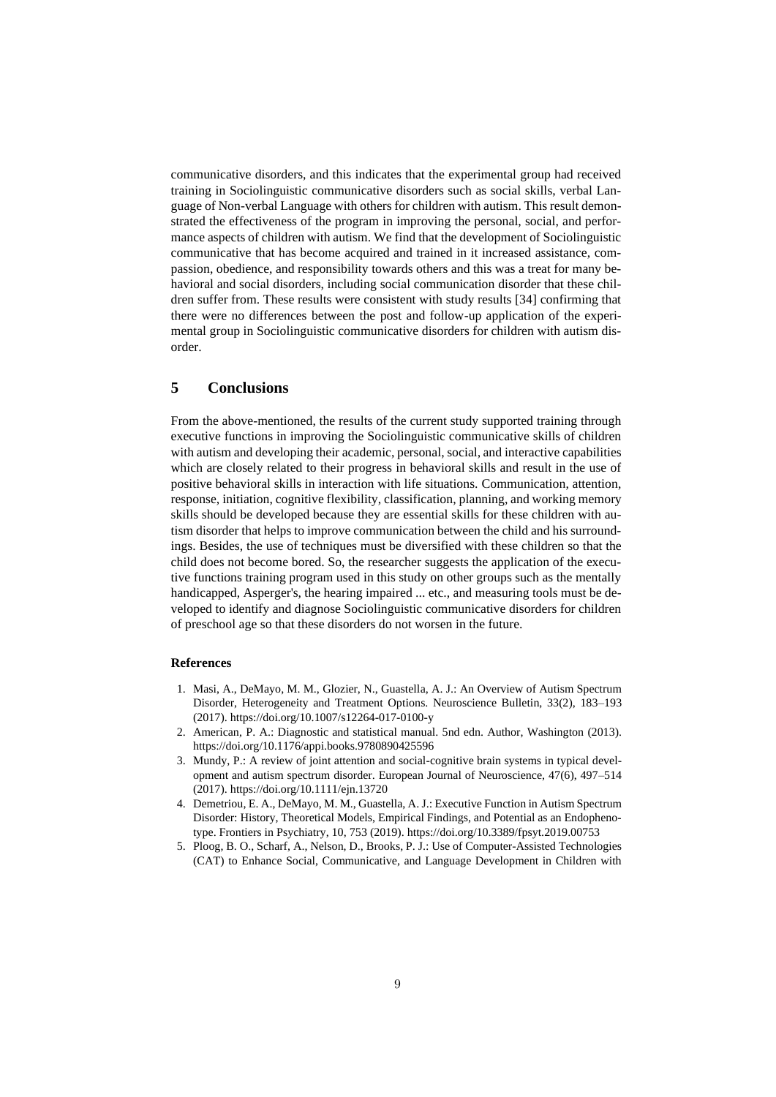communicative disorders, and this indicates that the experimental group had received training in Sociolinguistic communicative disorders such as social skills, verbal Language of Non-verbal Language with others for children with autism. This result demonstrated the effectiveness of the program in improving the personal, social, and performance aspects of children with autism. We find that the development of Sociolinguistic communicative that has become acquired and trained in it increased assistance, compassion, obedience, and responsibility towards others and this was a treat for many behavioral and social disorders, including social communication disorder that these children suffer from. These results were consistent with study results [34] confirming that there were no differences between the post and follow-up application of the experimental group in Sociolinguistic communicative disorders for children with autism disorder.

# **5 Conclusions**

From the above-mentioned, the results of the current study supported training through executive functions in improving the Sociolinguistic communicative skills of children with autism and developing their academic, personal, social, and interactive capabilities which are closely related to their progress in behavioral skills and result in the use of positive behavioral skills in interaction with life situations. Communication, attention, response, initiation, cognitive flexibility, classification, planning, and working memory skills should be developed because they are essential skills for these children with autism disorder that helps to improve communication between the child and his surroundings. Besides, the use of techniques must be diversified with these children so that the child does not become bored. So, the researcher suggests the application of the executive functions training program used in this study on other groups such as the mentally handicapped, Asperger's, the hearing impaired ... etc., and measuring tools must be developed to identify and diagnose Sociolinguistic communicative disorders for children of preschool age so that these disorders do not worsen in the future.

#### **References**

- 1. Masi, A., DeMayo, M. M., Glozier, N., Guastella, A. J.: An Overview of Autism Spectrum Disorder, Heterogeneity and Treatment Options. Neuroscience Bulletin, 33(2), 183–193 (2017). https://doi.org/10.1007/s12264-017-0100-y
- 2. American, P. A.: Diagnostic and statistical manual. 5nd edn. Author, Washington (2013). https://doi.org/10.1176/appi.books.9780890425596
- 3. Mundy, P.: A review of joint attention and social-cognitive brain systems in typical development and autism spectrum disorder. European Journal of Neuroscience, 47(6), 497–514 (2017). https://doi.org/10.1111/ejn.13720
- 4. Demetriou, E. A., DeMayo, M. M., Guastella, A. J.: Executive Function in Autism Spectrum Disorder: History, Theoretical Models, Empirical Findings, and Potential as an Endophenotype. Frontiers in Psychiatry, 10, 753 (2019). https://doi.org/10.3389/fpsyt.2019.00753
- 5. Ploog, B. O., Scharf, A., Nelson, D., Brooks, P. J.: Use of Computer-Assisted Technologies (CAT) to Enhance Social, Communicative, and Language Development in Children with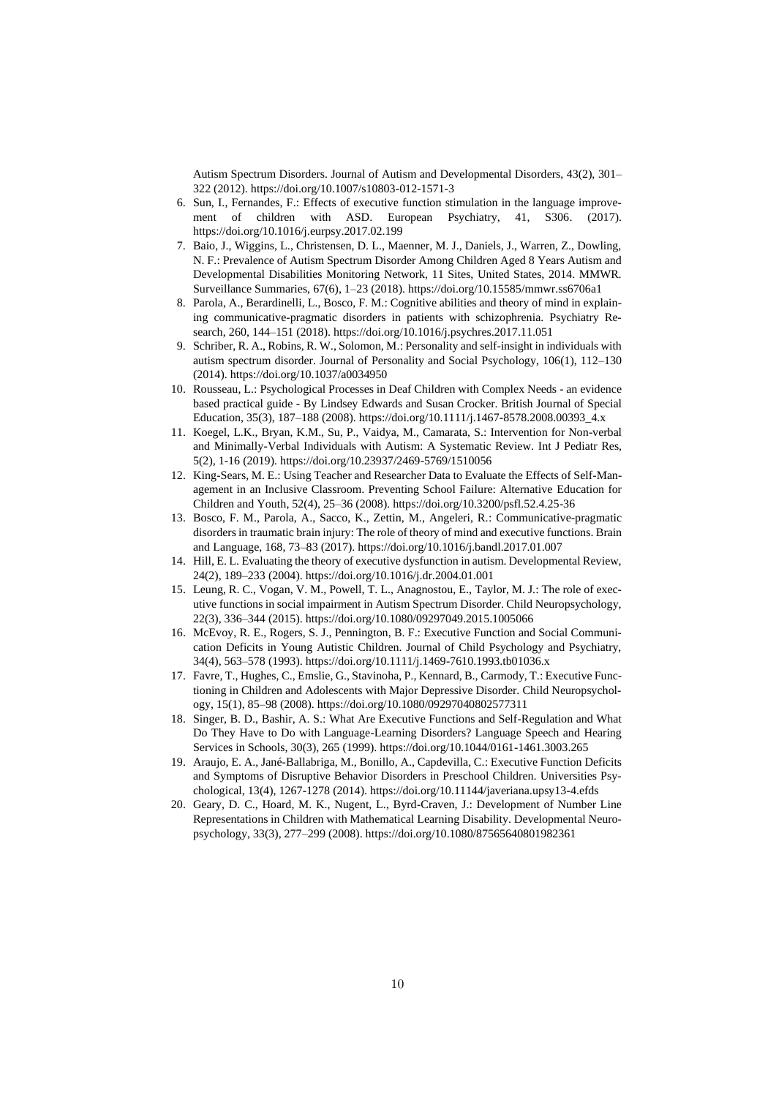Autism Spectrum Disorders. Journal of Autism and Developmental Disorders, 43(2), 301– 322 (2012). https://doi.org/10.1007/s10803-012-1571-3

- 6. Sun, I., Fernandes, F.: Effects of executive function stimulation in the language improvement of children with ASD. European Psychiatry, 41, S306. (2017). https://doi.org/10.1016/j.eurpsy.2017.02.199
- 7. Baio, J., Wiggins, L., Christensen, D. L., Maenner, M. J., Daniels, J., Warren, Z., Dowling, N. F.: Prevalence of Autism Spectrum Disorder Among Children Aged 8 Years Autism and Developmental Disabilities Monitoring Network, 11 Sites, United States, 2014. MMWR. Surveillance Summaries, 67(6), 1–23 (2018). https://doi.org/10.15585/mmwr.ss6706a1
- 8. Parola, A., Berardinelli, L., Bosco, F. M.: Cognitive abilities and theory of mind in explaining communicative-pragmatic disorders in patients with schizophrenia. Psychiatry Research, 260, 144–151 (2018). https://doi.org/10.1016/j.psychres.2017.11.051
- 9. Schriber, R. A., Robins, R. W., Solomon, M.: Personality and self-insight in individuals with autism spectrum disorder. Journal of Personality and Social Psychology, 106(1), 112–130 (2014). https://doi.org/10.1037/a0034950
- 10. Rousseau, L.: Psychological Processes in Deaf Children with Complex Needs an evidence based practical guide - By Lindsey Edwards and Susan Crocker. British Journal of Special Education, 35(3), 187–188 (2008). https://doi.org/10.1111/j.1467-8578.2008.00393\_4.x
- 11. Koegel, L.K., Bryan, K.M., Su, P., Vaidya, M., Camarata, S.: Intervention for Non-verbal and Minimally-Verbal Individuals with Autism: A Systematic Review. Int J Pediatr Res, 5(2), 1-16 (2019). https://doi.org/10.23937/2469-5769/1510056
- 12. King-Sears, M. E.: Using Teacher and Researcher Data to Evaluate the Effects of Self-Management in an Inclusive Classroom. Preventing School Failure: Alternative Education for Children and Youth, 52(4), 25–36 (2008). https://doi.org/10.3200/psfl.52.4.25-36
- 13. Bosco, F. M., Parola, A., Sacco, K., Zettin, M., Angeleri, R.: Communicative-pragmatic disorders in traumatic brain injury: The role of theory of mind and executive functions. Brain and Language, 168, 73–83 (2017). https://doi.org/10.1016/j.bandl.2017.01.007
- 14. Hill, E. L. Evaluating the theory of executive dysfunction in autism. Developmental Review, 24(2), 189–233 (2004). https://doi.org/10.1016/j.dr.2004.01.001
- 15. Leung, R. C., Vogan, V. M., Powell, T. L., Anagnostou, E., Taylor, M. J.: The role of executive functions in social impairment in Autism Spectrum Disorder. Child Neuropsychology, 22(3), 336–344 (2015). https://doi.org/10.1080/09297049.2015.1005066
- 16. McEvoy, R. E., Rogers, S. J., Pennington, B. F.: Executive Function and Social Communication Deficits in Young Autistic Children. Journal of Child Psychology and Psychiatry, 34(4), 563–578 (1993). https://doi.org/10.1111/j.1469-7610.1993.tb01036.x
- 17. Favre, T., Hughes, C., Emslie, G., Stavinoha, P., Kennard, B., Carmody, T.: Executive Functioning in Children and Adolescents with Major Depressive Disorder. Child Neuropsychology, 15(1), 85–98 (2008). https://doi.org/10.1080/09297040802577311
- 18. Singer, B. D., Bashir, A. S.: What Are Executive Functions and Self-Regulation and What Do They Have to Do with Language-Learning Disorders? Language Speech and Hearing Services in Schools, 30(3), 265 (1999). https://doi.org/10.1044/0161-1461.3003.265
- 19. Araujo, E. A., Jané-Ballabriga, M., Bonillo, A., Capdevilla, C.: Executive Function Deficits and Symptoms of Disruptive Behavior Disorders in Preschool Children. Universities Psychological, 13(4), 1267-1278 (2014). https://doi.org/10.11144/javeriana.upsy13-4.efds
- 20. Geary, D. C., Hoard, M. K., Nugent, L., Byrd-Craven, J.: Development of Number Line Representations in Children with Mathematical Learning Disability. Developmental Neuropsychology, 33(3), 277–299 (2008). https://doi.org/10.1080/87565640801982361